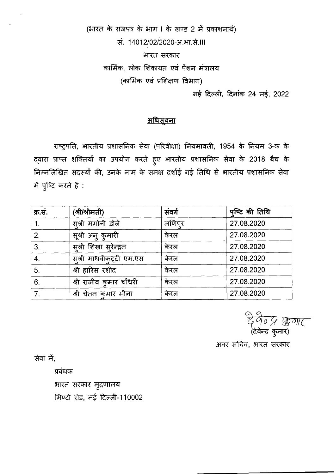(भारत के राजपत्र के भाग । के खण्ड 2 में प्रकाशनार्थ) सं. 14012/02/2020-आ.भा.से. ।।। भारत सरकार कार्मिक, लोक शिकायत एवं पेंशन मंत्रालय (कार्मिक एवं प्रशिक्षण विभाग)

नई दिल्ली, दिनांक 24 मई, 2022

## <u>अधिसूचना</u>

राष्ट्रपति, भारतीय प्रशासनिक सेवा (परिवीक्षा) नियमावली, 1954 के नियम 3-क के द्वारा प्राप्त शक्तियों का उपयोग करते हुए भारतीय प्रशासनिक सेवा के 2018 बैच के निम्नलिखित सदस्यों की, उनके नाम के समक्ष दर्शाई गई तिथि से भारतीय प्रशासनिक सेवा में पुष्टि करते हैं :

| क्र.सं.     | (श्री/श्रीमती)           | संवर्ग | पुष्टि की तिथि |
|-------------|--------------------------|--------|----------------|
| $1_{\cdot}$ | सुश्री ममोनी डोले        | मणिपर  | 27.08.2020     |
| 2.          | सूश्री अनु कुमारी        | केरल   | 27.08.2020     |
| 3.          | स्श्री शिखा सुरेन्द्रन   | केरल   | 27.08.2020     |
| 4.          | सुश्री माधवीकुट्टी एम.एस | केरल   | 27.08.2020     |
| 5.          | श्री हारिस रशीद          | केरल   | 27.08.2020     |
| 6.          | श्री राजीव कुमार चौधरी   | केरल   | 27.08.2020     |
| 7.          | श्री चेतन कुमार मीना     | केरल   | 27.08.2020     |

अवर सचिव, भारत सरकार

सेवा में,

प्रबंधक

भारत सरकार मुद्रणालय

मिण्टो रोड, नई दिल्ली-110002